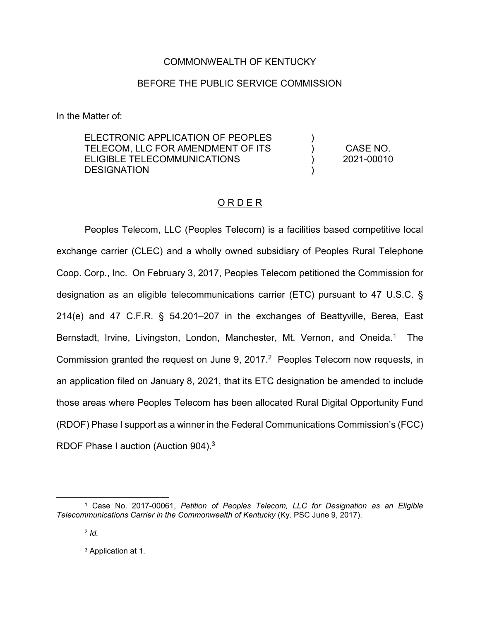## COMMONWEALTH OF KENTUCKY

## BEFORE THE PUBLIC SERVICE COMMISSION

In the Matter of:

ELECTRONIC APPLICATION OF PEOPLES TELECOM, LLC FOR AMENDMENT OF ITS ELIGIBLE TELECOMMUNICATIONS **DESIGNATION** )  $\lambda$ ) ) CASE NO. 2021-00010

## ORDER

Peoples Telecom, LLC (Peoples Telecom) is a facilities based competitive local exchange carrier (CLEC) and a wholly owned subsidiary of Peoples Rural Telephone Coop. Corp., Inc. On February 3, 2017, Peoples Telecom petitioned the Commission for designation as an eligible telecommunications carrier (ETC) pursuant to 47 U.S.C. § 214(e) and 47 C.F.R. § 54.201–207 in the exchanges of Beattyville, Berea, East Bernstadt, Irvine, Livingston, London, Manchester, Mt. Vernon, and Oneida.<sup>1</sup> The Commission granted the request on June 9, 2017.<sup>2</sup> Peoples Telecom now requests, in an application filed on January 8, 2021, that its ETC designation be amended to include those areas where Peoples Telecom has been allocated Rural Digital Opportunity Fund (RDOF) Phase I support as a winner in the Federal Communications Commission's (FCC) RDOF Phase I auction (Auction 904).<sup>3</sup>

<sup>3</sup> Application at 1.

 <sup>1</sup> Case No. 2017-00061, *Petition of Peoples Telecom, LLC for Designation as an Eligible Telecommunications Carrier in the Commonwealth of Kentucky* (Ky. PSC June 9, 2017).

<sup>2</sup> *Id.*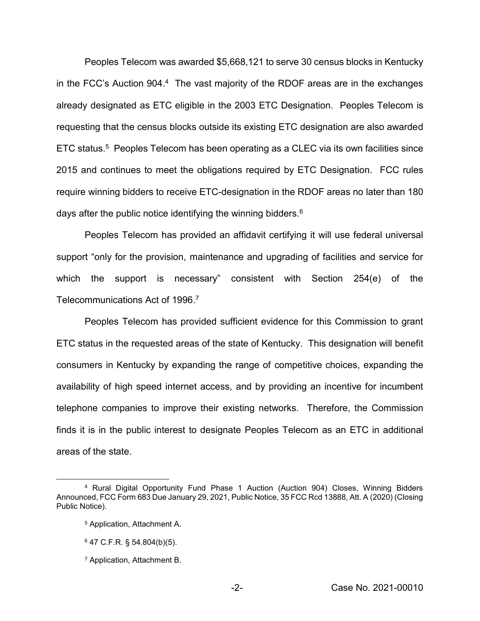Peoples Telecom was awarded \$5,668,121 to serve 30 census blocks in Kentucky in the FCC's Auction 904.<sup>4</sup> The vast majority of the RDOF areas are in the exchanges already designated as ETC eligible in the 2003 ETC Designation. Peoples Telecom is requesting that the census blocks outside its existing ETC designation are also awarded ETC status.5 Peoples Telecom has been operating as a CLEC via its own facilities since 2015 and continues to meet the obligations required by ETC Designation. FCC rules require winning bidders to receive ETC-designation in the RDOF areas no later than 180 days after the public notice identifying the winning bidders.<sup>6</sup>

Peoples Telecom has provided an affidavit certifying it will use federal universal support "only for the provision, maintenance and upgrading of facilities and service for which the support is necessary" consistent with Section 254(e) of the Telecommunications Act of 1996. 7

Peoples Telecom has provided sufficient evidence for this Commission to grant ETC status in the requested areas of the state of Kentucky. This designation will benefit consumers in Kentucky by expanding the range of competitive choices, expanding the availability of high speed internet access, and by providing an incentive for incumbent telephone companies to improve their existing networks. Therefore, the Commission finds it is in the public interest to designate Peoples Telecom as an ETC in additional areas of the state.

 <sup>4</sup> Rural Digital Opportunity Fund Phase 1 Auction (Auction 904) Closes, Winning Bidders Announced, FCC Form 683 Due January 29, 2021, Public Notice, 35 FCC Rcd 13888, Att. A (2020) (Closing Public Notice).

<sup>5</sup> Application, Attachment A.

 $6$  47 C.F.R. § 54.804(b)(5).

<sup>7</sup> Application, Attachment B.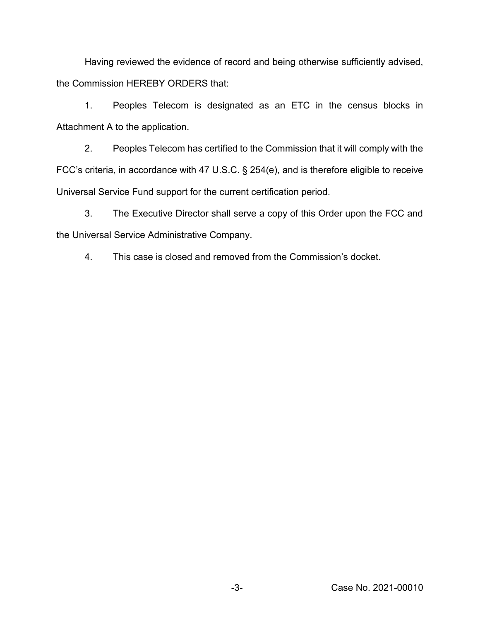Having reviewed the evidence of record and being otherwise sufficiently advised, the Commission HEREBY ORDERS that:

1. Peoples Telecom is designated as an ETC in the census blocks in Attachment A to the application.

2. Peoples Telecom has certified to the Commission that it will comply with the FCC's criteria, in accordance with 47 U.S.C. § 254(e), and is therefore eligible to receive Universal Service Fund support for the current certification period.

3. The Executive Director shall serve a copy of this Order upon the FCC and the Universal Service Administrative Company.

4. This case is closed and removed from the Commission's docket.

-3- Case No. 2021-00010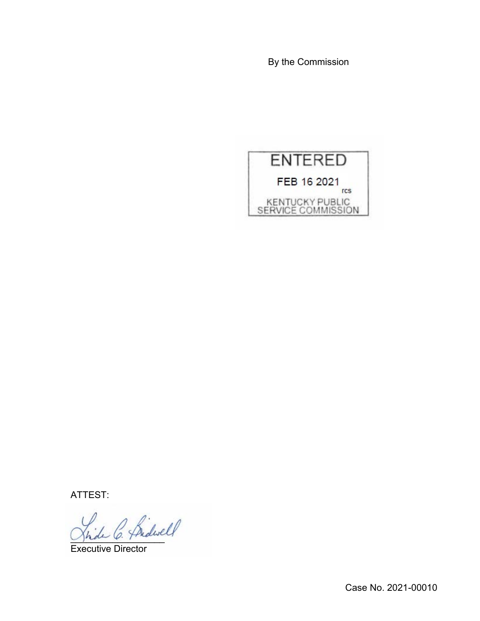By the Commission



ATTEST:

L C. Pridwell

Executive Director